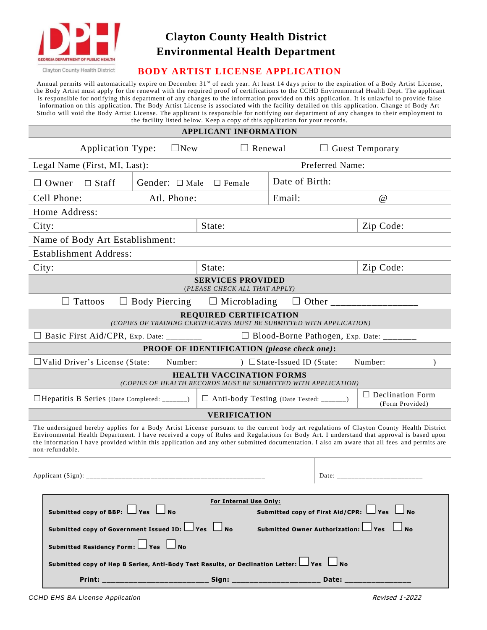

### **Clayton County Health District Environmental Health Department**

Clayton County Health District

### **BODY ARTIST LICENSE APPLICATION**

Annual permits will automatically expire on December 31<sup>st</sup> of each year. At least 14 days prior to the expiration of a Body Artist License, the Body Artist must apply for the renewal with the required proof of certifications to the CCHD Environmental Health Dept. The applicant is responsible for notifying this department of any changes to the information provided on this application. It is unlawful to provide false information on this application. The Body Artist License is associated with the facility detailed on this application. Change of Body Art Studio will void the Body Artist License. The applicant is responsible for notifying our department of any changes to their employment to the facility listed below. Keep a copy of this application for your records.

#### **APPLICANT INFORMATION**

|                                                                                                                                                                                                                                                                                                                                                                                                                                                       |                                                                                                     | Application Type:             | $\Box$ New                                                   | $\Box$ Renewal                                     |                | $\Box$ Guest Temporary                     |  |  |
|-------------------------------------------------------------------------------------------------------------------------------------------------------------------------------------------------------------------------------------------------------------------------------------------------------------------------------------------------------------------------------------------------------------------------------------------------------|-----------------------------------------------------------------------------------------------------|-------------------------------|--------------------------------------------------------------|----------------------------------------------------|----------------|--------------------------------------------|--|--|
| Preferred Name:<br>Legal Name (First, MI, Last):                                                                                                                                                                                                                                                                                                                                                                                                      |                                                                                                     |                               |                                                              |                                                    |                |                                            |  |  |
| Gender: $\Box$ Male<br>$\Box$ Staff<br>$\Box$ Female<br>$\Box$ Owner                                                                                                                                                                                                                                                                                                                                                                                  |                                                                                                     |                               |                                                              |                                                    | Date of Birth: |                                            |  |  |
| Cell Phone:<br>Atl. Phone:                                                                                                                                                                                                                                                                                                                                                                                                                            |                                                                                                     |                               |                                                              |                                                    | Email:         | $\omega$                                   |  |  |
| Home Address:                                                                                                                                                                                                                                                                                                                                                                                                                                         |                                                                                                     |                               |                                                              |                                                    |                |                                            |  |  |
| State:<br>City:                                                                                                                                                                                                                                                                                                                                                                                                                                       |                                                                                                     |                               |                                                              |                                                    |                | Zip Code:                                  |  |  |
| Name of Body Art Establishment:                                                                                                                                                                                                                                                                                                                                                                                                                       |                                                                                                     |                               |                                                              |                                                    |                |                                            |  |  |
|                                                                                                                                                                                                                                                                                                                                                                                                                                                       |                                                                                                     | <b>Establishment Address:</b> |                                                              |                                                    |                |                                            |  |  |
| City:                                                                                                                                                                                                                                                                                                                                                                                                                                                 |                                                                                                     |                               |                                                              | State:                                             |                | Zip Code:                                  |  |  |
| <b>SERVICES PROVIDED</b><br>(PLEASE CHECK ALL THAT APPLY)                                                                                                                                                                                                                                                                                                                                                                                             |                                                                                                     |                               |                                                              |                                                    |                |                                            |  |  |
|                                                                                                                                                                                                                                                                                                                                                                                                                                                       |                                                                                                     | Tattoos                       |                                                              | $\Box$ Body Piercing $\Box$ Microblading           | ⊔              |                                            |  |  |
| <b>REQUIRED CERTIFICATION</b><br>(COPIES OF TRAINING CERTIFICATES MUST BE SUBMITTED WITH APPLICATION)                                                                                                                                                                                                                                                                                                                                                 |                                                                                                     |                               |                                                              |                                                    |                |                                            |  |  |
|                                                                                                                                                                                                                                                                                                                                                                                                                                                       |                                                                                                     |                               | □ Basic First Aid/CPR, Exp. Date: _________                  |                                                    |                | □ Blood-Borne Pathogen, Exp. Date: _______ |  |  |
|                                                                                                                                                                                                                                                                                                                                                                                                                                                       |                                                                                                     |                               |                                                              | <b>PROOF OF IDENTIFICATION</b> (please check one): |                |                                            |  |  |
|                                                                                                                                                                                                                                                                                                                                                                                                                                                       |                                                                                                     |                               |                                                              |                                                    |                |                                            |  |  |
| <b>HEALTH VACCINATION FORMS</b><br>(COPIES OF HEALTH RECORDS MUST BE SUBMITTED WITH APPLICATION)                                                                                                                                                                                                                                                                                                                                                      |                                                                                                     |                               |                                                              |                                                    |                |                                            |  |  |
|                                                                                                                                                                                                                                                                                                                                                                                                                                                       |                                                                                                     |                               | $\Box$ Hepatitis B Series (Date Completed: _______)          | □ Anti-body Testing (Date Tested: _______)         |                | $\Box$ Declination Form<br>(Form Provided) |  |  |
|                                                                                                                                                                                                                                                                                                                                                                                                                                                       |                                                                                                     |                               |                                                              | <b>VERIFICATION</b>                                |                |                                            |  |  |
| The undersigned hereby applies for a Body Artist License pursuant to the current body art regulations of Clayton County Health District<br>Environmental Health Department. I have received a copy of Rules and Regulations for Body Art. I understand that approval is based upon<br>the information I have provided within this application and any other submitted documentation. I also am aware that all fees and permits are<br>non-refundable. |                                                                                                     |                               |                                                              |                                                    |                |                                            |  |  |
| Date: ___________________________                                                                                                                                                                                                                                                                                                                                                                                                                     |                                                                                                     |                               |                                                              |                                                    |                |                                            |  |  |
| <b>For Internal Use Only:</b><br>Submitted copy of BBP: $\Box$ Yes $\Box$ No<br>Submitted copy of First Aid/CPR: $\Box$ Yes $\Box$ No                                                                                                                                                                                                                                                                                                                 |                                                                                                     |                               |                                                              |                                                    |                |                                            |  |  |
|                                                                                                                                                                                                                                                                                                                                                                                                                                                       |                                                                                                     |                               | Submitted copy of Government Issued ID: $\Box$ Yes $\Box$ No |                                                    |                | Submitted Owner Authorization: Ves         |  |  |
|                                                                                                                                                                                                                                                                                                                                                                                                                                                       |                                                                                                     |                               | Submitted Residency Form: $\Box$ Yes $\Box$ No               |                                                    |                |                                            |  |  |
|                                                                                                                                                                                                                                                                                                                                                                                                                                                       | Submitted copy of Hep B Series, Anti-Body Test Results, or Declination Letter: $\Box$ Yes $\Box$ No |                               |                                                              |                                                    |                |                                            |  |  |
|                                                                                                                                                                                                                                                                                                                                                                                                                                                       |                                                                                                     |                               |                                                              |                                                    |                | Date: $\_\_$                               |  |  |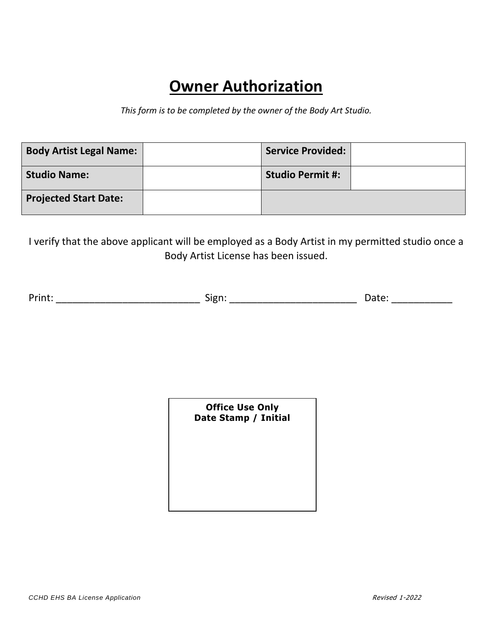# **Owner Authorization**

*This form is to be completed by the owner of the Body Art Studio.* 

| <b>Body Artist Legal Name:</b> | <b>Service Provided:</b> |  |
|--------------------------------|--------------------------|--|
| <b>Studio Name:</b>            | <b>Studio Permit #:</b>  |  |
| <b>Projected Start Date:</b>   |                          |  |

I verify that the above applicant will be employed as a Body Artist in my permitted studio once a Body Artist License has been issued.

Print: \_\_\_\_\_\_\_\_\_\_\_\_\_\_\_\_\_\_\_\_\_\_\_\_\_\_ Sign: \_\_\_\_\_\_\_\_\_\_\_\_\_\_\_\_\_\_\_\_\_\_\_ Date: \_\_\_\_\_\_\_\_\_\_\_

**Office Use Only Date Stamp / Initial**